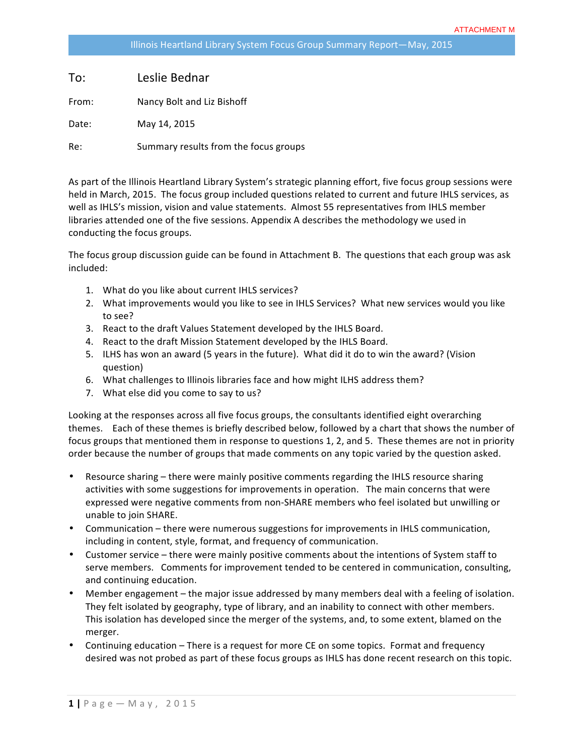| To:   | Leslie Bednar                         |
|-------|---------------------------------------|
| From: | Nancy Bolt and Liz Bishoff            |
| Date: | May 14, 2015                          |
| Re:   | Summary results from the focus groups |

As part of the Illinois Heartland Library System's strategic planning effort, five focus group sessions were held in March, 2015. The focus group included questions related to current and future IHLS services, as well as IHLS's mission, vision and value statements. Almost 55 representatives from IHLS member libraries attended one of the five sessions. Appendix A describes the methodology we used in conducting the focus groups.

The focus group discussion guide can be found in Attachment B. The questions that each group was ask included: 

- 1. What do you like about current IHLS services?
- 2. What improvements would you like to see in IHLS Services? What new services would you like to see?
- 3. React to the draft Values Statement developed by the IHLS Board.
- 4. React to the draft Mission Statement developed by the IHLS Board.
- 5. ILHS has won an award (5 years in the future). What did it do to win the award? (Vision question)
- 6. What challenges to Illinois libraries face and how might ILHS address them?
- 7. What else did you come to say to us?

Looking at the responses across all five focus groups, the consultants identified eight overarching themes. Each of these themes is briefly described below, followed by a chart that shows the number of focus groups that mentioned them in response to questions 1, 2, and 5. These themes are not in priority order because the number of groups that made comments on any topic varied by the question asked.

- Resource sharing there were mainly positive comments regarding the IHLS resource sharing activities with some suggestions for improvements in operation. The main concerns that were expressed were negative comments from non-SHARE members who feel isolated but unwilling or unable to join SHARE.
- Communication there were numerous suggestions for improvements in IHLS communication, including in content, style, format, and frequency of communication.
- Customer service there were mainly positive comments about the intentions of System staff to serve members. Comments for improvement tended to be centered in communication, consulting, and continuing education.
- Member engagement  $-$  the major issue addressed by many members deal with a feeling of isolation. They felt isolated by geography, type of library, and an inability to connect with other members. This isolation has developed since the merger of the systems, and, to some extent, blamed on the merger.
- Continuing education There is a request for more CE on some topics. Format and frequency desired was not probed as part of these focus groups as IHLS has done recent research on this topic.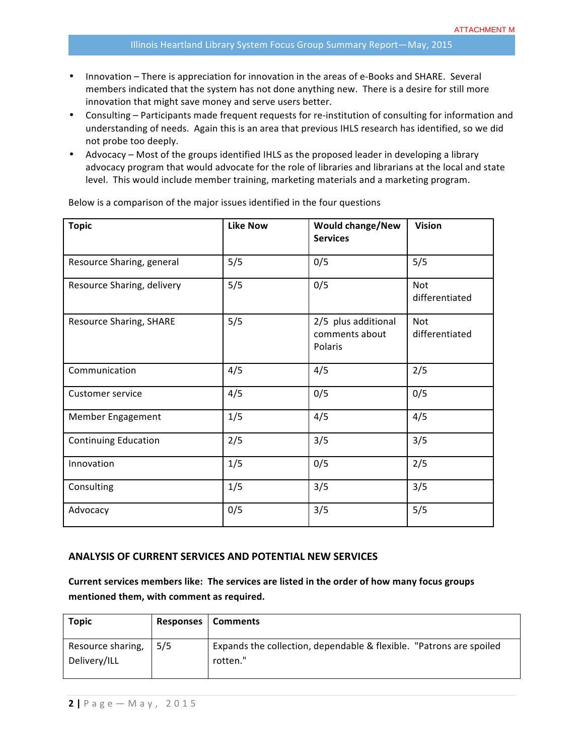- Innovation There is appreciation for innovation in the areas of e-Books and SHARE. Several members indicated that the system has not done anything new. There is a desire for still more innovation that might save money and serve users better.
- Consulting Participants made frequent requests for re-institution of consulting for information and understanding of needs. Again this is an area that previous IHLS research has identified, so we did not probe too deeply.
- Advocacy Most of the groups identified IHLS as the proposed leader in developing a library advocacy program that would advocate for the role of libraries and librarians at the local and state level. This would include member training, marketing materials and a marketing program.

| <b>Topic</b>                   | <b>Like Now</b> | <b>Would change/New</b><br><b>Services</b>       | <b>Vision</b>                |
|--------------------------------|-----------------|--------------------------------------------------|------------------------------|
| Resource Sharing, general      | 5/5             | 0/5                                              | 5/5                          |
| Resource Sharing, delivery     | 5/5             | 0/5                                              | Not<br>differentiated        |
| <b>Resource Sharing, SHARE</b> | 5/5             | 2/5 plus additional<br>comments about<br>Polaris | <b>Not</b><br>differentiated |
| Communication                  | 4/5             | 4/5                                              | 2/5                          |
| Customer service               | 4/5             | 0/5                                              | 0/5                          |
| Member Engagement              | 1/5             | 4/5                                              | 4/5                          |
| <b>Continuing Education</b>    | 2/5             | 3/5                                              | 3/5                          |
| Innovation                     | 1/5             | 0/5                                              | 2/5                          |
| Consulting                     | 1/5             | 3/5                                              | 3/5                          |
| Advocacy                       | 0/5             | 3/5                                              | 5/5                          |

Below is a comparison of the major issues identified in the four questions

#### **ANALYSIS OF CURRENT SERVICES AND POTENTIAL NEW SERVICES**

Current services members like: The services are listed in the order of how many focus groups mentioned them, with comment as required.

| Topic             |     | Responses   Comments                                                |
|-------------------|-----|---------------------------------------------------------------------|
| Resource sharing, | 5/5 | Expands the collection, dependable & flexible. "Patrons are spoiled |
| Delivery/ILL      |     | rotten."                                                            |
|                   |     |                                                                     |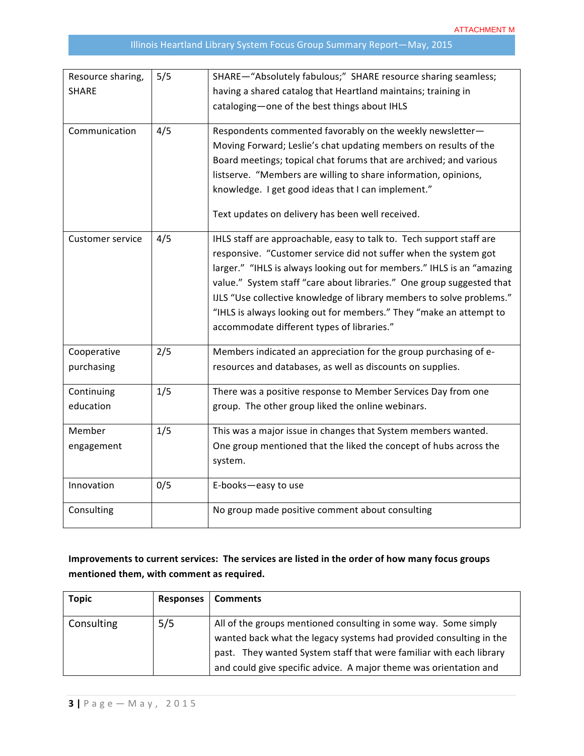| Resource sharing,<br><b>SHARE</b> | 5/5 | SHARE-"Absolutely fabulous;" SHARE resource sharing seamless;<br>having a shared catalog that Heartland maintains; training in<br>cataloging-one of the best things about IHLS                                                                                                                                                                                                                                                                                                           |
|-----------------------------------|-----|------------------------------------------------------------------------------------------------------------------------------------------------------------------------------------------------------------------------------------------------------------------------------------------------------------------------------------------------------------------------------------------------------------------------------------------------------------------------------------------|
| Communication                     | 4/5 | Respondents commented favorably on the weekly newsletter-<br>Moving Forward; Leslie's chat updating members on results of the<br>Board meetings; topical chat forums that are archived; and various<br>listserve. "Members are willing to share information, opinions,<br>knowledge. I get good ideas that I can implement."<br>Text updates on delivery has been well received.                                                                                                         |
| <b>Customer service</b>           | 4/5 | IHLS staff are approachable, easy to talk to. Tech support staff are<br>responsive. "Customer service did not suffer when the system got<br>larger." "IHLS is always looking out for members." IHLS is an "amazing<br>value." System staff "care about libraries." One group suggested that<br>IJLS "Use collective knowledge of library members to solve problems."<br>"IHLS is always looking out for members." They "make an attempt to<br>accommodate different types of libraries." |
| Cooperative<br>purchasing         | 2/5 | Members indicated an appreciation for the group purchasing of e-<br>resources and databases, as well as discounts on supplies.                                                                                                                                                                                                                                                                                                                                                           |
| Continuing<br>education           | 1/5 | There was a positive response to Member Services Day from one<br>group. The other group liked the online webinars.                                                                                                                                                                                                                                                                                                                                                                       |
| Member<br>engagement              | 1/5 | This was a major issue in changes that System members wanted.<br>One group mentioned that the liked the concept of hubs across the<br>system.                                                                                                                                                                                                                                                                                                                                            |
| Innovation                        | 0/5 | E-books-easy to use                                                                                                                                                                                                                                                                                                                                                                                                                                                                      |
| Consulting                        |     | No group made positive comment about consulting                                                                                                                                                                                                                                                                                                                                                                                                                                          |

# Improvements to current services: The services are listed in the order of how many focus groups mentioned them, with comment as required.

| <b>Topic</b> | <b>Responses</b> | <b>Comments</b>                                                                                                                                                                                                                                                                   |
|--------------|------------------|-----------------------------------------------------------------------------------------------------------------------------------------------------------------------------------------------------------------------------------------------------------------------------------|
| Consulting   | 5/5              | All of the groups mentioned consulting in some way. Some simply<br>wanted back what the legacy systems had provided consulting in the<br>past. They wanted System staff that were familiar with each library<br>and could give specific advice. A major theme was orientation and |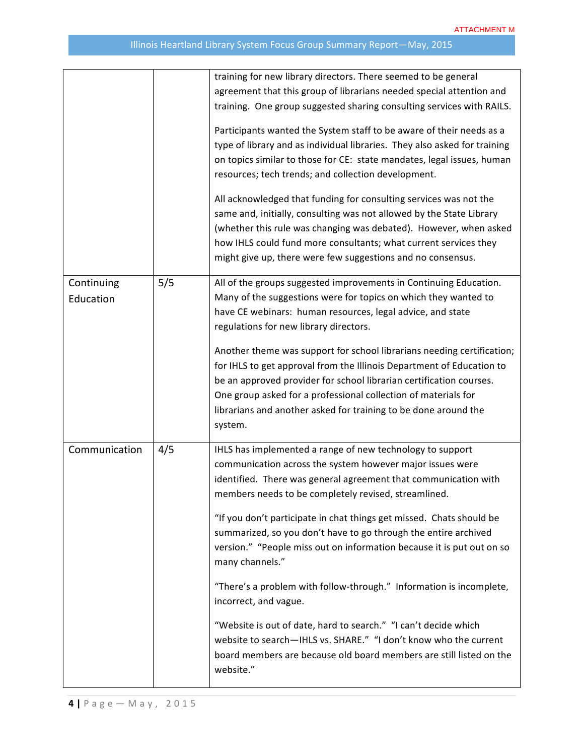|                         |     | training for new library directors. There seemed to be general<br>agreement that this group of librarians needed special attention and<br>training. One group suggested sharing consulting services with RAILS.<br>Participants wanted the System staff to be aware of their needs as a<br>type of library and as individual libraries. They also asked for training<br>on topics similar to those for CE: state mandates, legal issues, human<br>resources; tech trends; and collection development.<br>All acknowledged that funding for consulting services was not the<br>same and, initially, consulting was not allowed by the State Library<br>(whether this rule was changing was debated). However, when asked<br>how IHLS could fund more consultants; what current services they<br>might give up, there were few suggestions and no consensus. |
|-------------------------|-----|------------------------------------------------------------------------------------------------------------------------------------------------------------------------------------------------------------------------------------------------------------------------------------------------------------------------------------------------------------------------------------------------------------------------------------------------------------------------------------------------------------------------------------------------------------------------------------------------------------------------------------------------------------------------------------------------------------------------------------------------------------------------------------------------------------------------------------------------------------|
| Continuing<br>Education | 5/5 | All of the groups suggested improvements in Continuing Education.<br>Many of the suggestions were for topics on which they wanted to<br>have CE webinars: human resources, legal advice, and state<br>regulations for new library directors.<br>Another theme was support for school librarians needing certification;<br>for IHLS to get approval from the Illinois Department of Education to<br>be an approved provider for school librarian certification courses.<br>One group asked for a professional collection of materials for<br>librarians and another asked for training to be done around the<br>system.                                                                                                                                                                                                                                     |
| Communication           | 4/5 | IHLS has implemented a range of new technology to support<br>communication across the system however major issues were<br>identified. There was general agreement that communication with<br>members needs to be completely revised, streamlined.<br>"If you don't participate in chat things get missed. Chats should be<br>summarized, so you don't have to go through the entire archived<br>version." "People miss out on information because it is put out on so<br>many channels."<br>"There's a problem with follow-through." Information is incomplete,<br>incorrect, and vague.<br>"Website is out of date, hard to search." "I can't decide which<br>website to search-IHLS vs. SHARE." "I don't know who the current<br>board members are because old board members are still listed on the<br>website."                                        |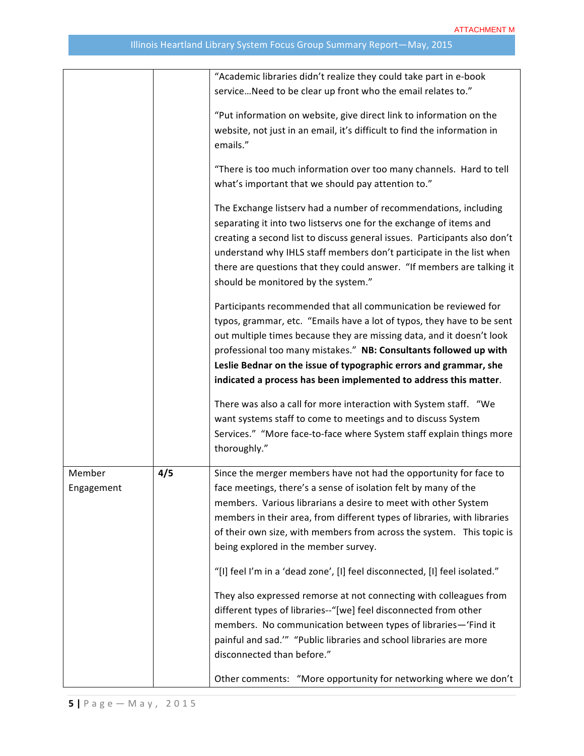|                      |     | "Academic libraries didn't realize they could take part in e-book                                                                                                                                                                                                                                                                                                                                                                |
|----------------------|-----|----------------------------------------------------------------------------------------------------------------------------------------------------------------------------------------------------------------------------------------------------------------------------------------------------------------------------------------------------------------------------------------------------------------------------------|
|                      |     | service Need to be clear up front who the email relates to."                                                                                                                                                                                                                                                                                                                                                                     |
|                      |     | "Put information on website, give direct link to information on the                                                                                                                                                                                                                                                                                                                                                              |
|                      |     | website, not just in an email, it's difficult to find the information in<br>emails."                                                                                                                                                                                                                                                                                                                                             |
|                      |     | "There is too much information over too many channels. Hard to tell<br>what's important that we should pay attention to."                                                                                                                                                                                                                                                                                                        |
|                      |     | The Exchange listserv had a number of recommendations, including<br>separating it into two listservs one for the exchange of items and<br>creating a second list to discuss general issues. Participants also don't<br>understand why IHLS staff members don't participate in the list when<br>there are questions that they could answer. "If members are talking it<br>should be monitored by the system."                     |
|                      |     | Participants recommended that all communication be reviewed for<br>typos, grammar, etc. "Emails have a lot of typos, they have to be sent<br>out multiple times because they are missing data, and it doesn't look<br>professional too many mistakes." NB: Consultants followed up with<br>Leslie Bednar on the issue of typographic errors and grammar, she<br>indicated a process has been implemented to address this matter. |
|                      |     | There was also a call for more interaction with System staff. "We<br>want systems staff to come to meetings and to discuss System<br>Services." "More face-to-face where System staff explain things more<br>thoroughly."                                                                                                                                                                                                        |
| Member<br>Engagement | 4/5 | Since the merger members have not had the opportunity for face to<br>face meetings, there's a sense of isolation felt by many of the<br>members. Various librarians a desire to meet with other System<br>members in their area, from different types of libraries, with libraries<br>of their own size, with members from across the system. This topic is<br>being explored in the member survey.                              |
|                      |     | "[I] feel I'm in a 'dead zone', [I] feel disconnected, [I] feel isolated."                                                                                                                                                                                                                                                                                                                                                       |
|                      |     | They also expressed remorse at not connecting with colleagues from<br>different types of libraries--"[we] feel disconnected from other<br>members. No communication between types of libraries-'Find it<br>painful and sad."" "Public libraries and school libraries are more<br>disconnected than before."                                                                                                                      |
|                      |     | Other comments: "More opportunity for networking where we don't                                                                                                                                                                                                                                                                                                                                                                  |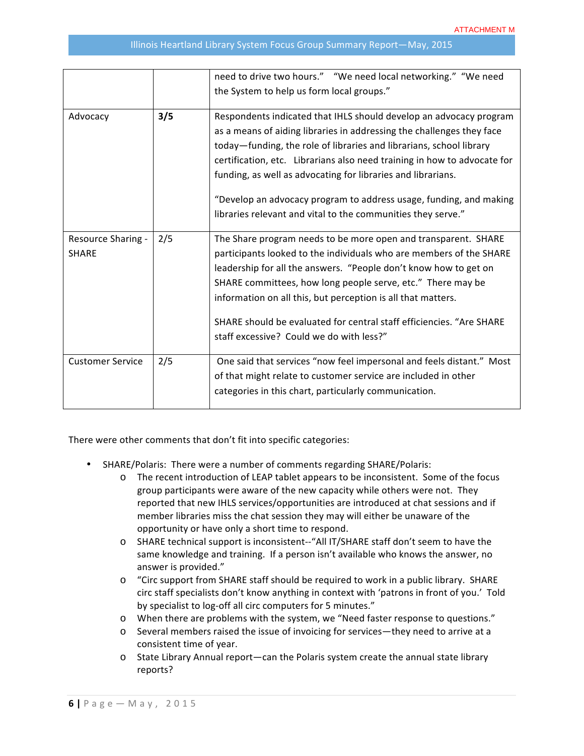|                                    |     | need to drive two hours." "We need local networking." "We need                                                                                                                                                                                                                                                                                                                                                                                                                                       |
|------------------------------------|-----|------------------------------------------------------------------------------------------------------------------------------------------------------------------------------------------------------------------------------------------------------------------------------------------------------------------------------------------------------------------------------------------------------------------------------------------------------------------------------------------------------|
|                                    |     | the System to help us form local groups."                                                                                                                                                                                                                                                                                                                                                                                                                                                            |
| Advocacy                           | 3/5 | Respondents indicated that IHLS should develop an advocacy program<br>as a means of aiding libraries in addressing the challenges they face<br>today-funding, the role of libraries and librarians, school library<br>certification, etc. Librarians also need training in how to advocate for<br>funding, as well as advocating for libraries and librarians.<br>"Develop an advocacy program to address usage, funding, and making<br>libraries relevant and vital to the communities they serve." |
| Resource Sharing -<br><b>SHARE</b> | 2/5 | The Share program needs to be more open and transparent. SHARE<br>participants looked to the individuals who are members of the SHARE<br>leadership for all the answers. "People don't know how to get on<br>SHARE committees, how long people serve, etc." There may be<br>information on all this, but perception is all that matters.<br>SHARE should be evaluated for central staff efficiencies. "Are SHARE<br>staff excessive? Could we do with less?"                                         |
| <b>Customer Service</b>            | 2/5 | One said that services "now feel impersonal and feels distant." Most<br>of that might relate to customer service are included in other<br>categories in this chart, particularly communication.                                                                                                                                                                                                                                                                                                      |

There were other comments that don't fit into specific categories:

- SHARE/Polaris: There were a number of comments regarding SHARE/Polaris:
	- $\circ$  The recent introduction of LEAP tablet appears to be inconsistent. Some of the focus group participants were aware of the new capacity while others were not. They reported that new IHLS services/opportunities are introduced at chat sessions and if member libraries miss the chat session they may will either be unaware of the opportunity or have only a short time to respond.
	- o SHARE technical support is inconsistent--"All IT/SHARE staff don't seem to have the same knowledge and training. If a person isn't available who knows the answer, no answer is provided."
	- o "Circ support from SHARE staff should be required to work in a public library. SHARE circ staff specialists don't know anything in context with 'patrons in front of you.' Told by specialist to log-off all circ computers for 5 minutes."
	- o When there are problems with the system, we "Need faster response to questions."
	- o Several members raised the issue of invoicing for services—they need to arrive at a consistent time of year.
	- $\circ$  State Library Annual report—can the Polaris system create the annual state library reports?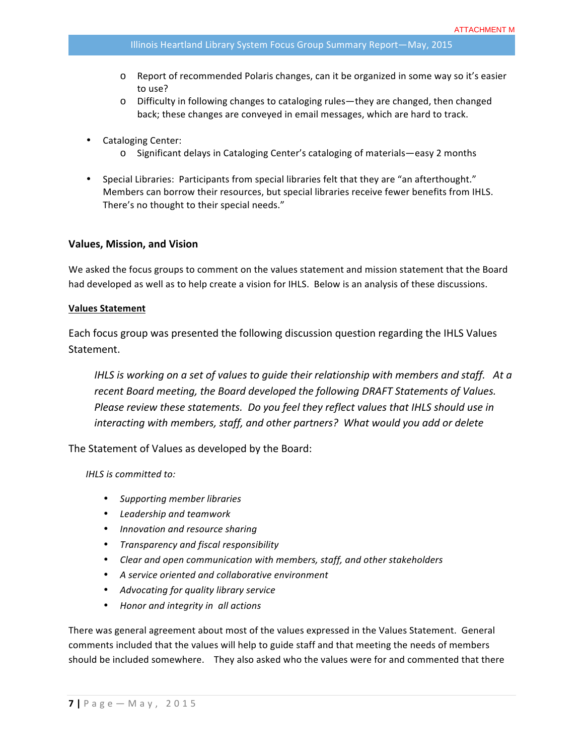- o Report of recommended Polaris changes, can it be organized in some way so it's easier to use?
- $\circ$  Difficulty in following changes to cataloging rules—they are changed, then changed back; these changes are conveyed in email messages, which are hard to track.
- Cataloging Center:
	- $\circ$  Significant delays in Cataloging Center's cataloging of materials—easy 2 months
- Special Libraries: Participants from special libraries felt that they are "an afterthought." Members can borrow their resources, but special libraries receive fewer benefits from IHLS. There's no thought to their special needs."

#### **Values, Mission, and Vision**

We asked the focus groups to comment on the values statement and mission statement that the Board had developed as well as to help create a vision for IHLS. Below is an analysis of these discussions.

#### **Values Statement**

Each focus group was presented the following discussion question regarding the IHLS Values Statement. 

*IHLS* is working on a set of values to guide their relationship with members and staff. At a recent Board meeting, the Board developed the following DRAFT Statements of Values. *Please review these statements. Do you feel they reflect values that IHLS should use in interacting* with members, staff, and other partners? What would you add or delete

The Statement of Values as developed by the Board:

*IHLS is committed to:*

- *Supporting member libraries*
- *Leadership and teamwork*
- *Innovation and resource sharing*
- *Transparency and fiscal responsibility*
- Clear and open communication with members, staff, and other stakeholders
- *A service oriented and collaborative environment*
- *Advocating for quality library service*
- *Honor and integrity in all actions*

There was general agreement about most of the values expressed in the Values Statement. General comments included that the values will help to guide staff and that meeting the needs of members should be included somewhere. They also asked who the values were for and commented that there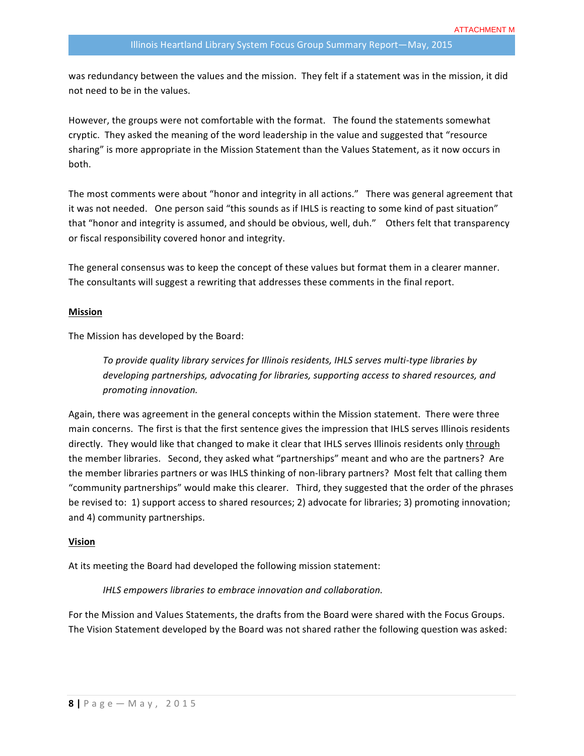was redundancy between the values and the mission. They felt if a statement was in the mission, it did not need to be in the values.

However, the groups were not comfortable with the format. The found the statements somewhat cryptic. They asked the meaning of the word leadership in the value and suggested that "resource sharing" is more appropriate in the Mission Statement than the Values Statement, as it now occurs in both.

The most comments were about "honor and integrity in all actions." There was general agreement that it was not needed. One person said "this sounds as if IHLS is reacting to some kind of past situation" that "honor and integrity is assumed, and should be obvious, well, duh." Others felt that transparency or fiscal responsibility covered honor and integrity.

The general consensus was to keep the concept of these values but format them in a clearer manner. The consultants will suggest a rewriting that addresses these comments in the final report.

#### **Mission**

The Mission has developed by the Board:

To provide quality library services for Illinois residents, IHLS serves multi-type libraries by *developing partnerships, advocating for libraries, supporting access to shared resources, and promoting innovation.*

Again, there was agreement in the general concepts within the Mission statement. There were three main concerns. The first is that the first sentence gives the impression that IHLS serves Illinois residents directly. They would like that changed to make it clear that IHLS serves Illinois residents only through the member libraries. Second, they asked what "partnerships" meant and who are the partners? Are the member libraries partners or was IHLS thinking of non-library partners? Most felt that calling them "community partnerships" would make this clearer. Third, they suggested that the order of the phrases be revised to: 1) support access to shared resources; 2) advocate for libraries; 3) promoting innovation; and 4) community partnerships.

#### **Vision**

At its meeting the Board had developed the following mission statement:

*IHLS empowers libraries to embrace innovation and collaboration.* 

For the Mission and Values Statements, the drafts from the Board were shared with the Focus Groups. The Vision Statement developed by the Board was not shared rather the following question was asked: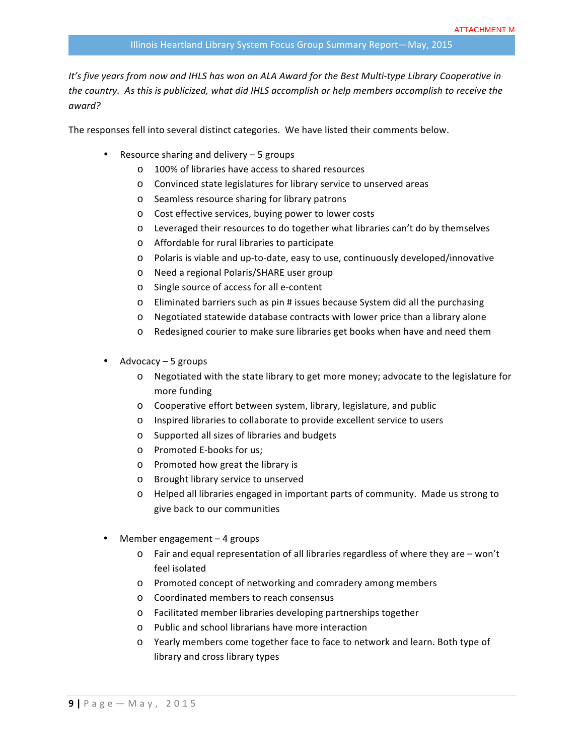It's five years from now and IHLS has won an ALA Award for the Best Multi-type Library Cooperative in the country. As this is publicized, what did IHLS accomplish or help members accomplish to receive the *award?*

The responses fell into several distinct categories. We have listed their comments below.

- Resource sharing and delivery  $-5$  groups
	- o 100% of libraries have access to shared resources
	- o Convinced state legislatures for library service to unserved areas
	- o Seamless resource sharing for library patrons
	- o Cost effective services, buying power to lower costs
	- $\circ$  Leveraged their resources to do together what libraries can't do by themselves
	- $\circ$  Affordable for rural libraries to participate
	- $\circ$  Polaris is viable and up-to-date, easy to use, continuously developed/innovative
	- o Need a regional Polaris/SHARE user group
	- o Single source of access for all e-content
	- $\circ$  Eliminated barriers such as pin # issues because System did all the purchasing
	- o Negotiated statewide database contracts with lower price than a library alone
	- o Redesigned courier to make sure libraries get books when have and need them
- Advocacy  $-5$  groups
	- $\circ$  Negotiated with the state library to get more money; advocate to the legislature for more funding
	- $\circ$  Cooperative effort between system, library, legislature, and public
	- o Inspired libraries to collaborate to provide excellent service to users
	- o Supported all sizes of libraries and budgets
	- o Promoted E-books for us;
	- $\circ$  Promoted how great the library is
	- o Brought library service to unserved
	- $\circ$  Helped all libraries engaged in important parts of community. Made us strong to give back to our communities
- Member engagement  $-4$  groups
	- $\circ$  Fair and equal representation of all libraries regardless of where they are won't feel isolated
	- o Promoted concept of networking and comradery among members
	- o Coordinated members to reach consensus
	- o Facilitated member libraries developing partnerships together
	- o Public and school librarians have more interaction
	- $\circ$  Yearly members come together face to face to network and learn. Both type of library and cross library types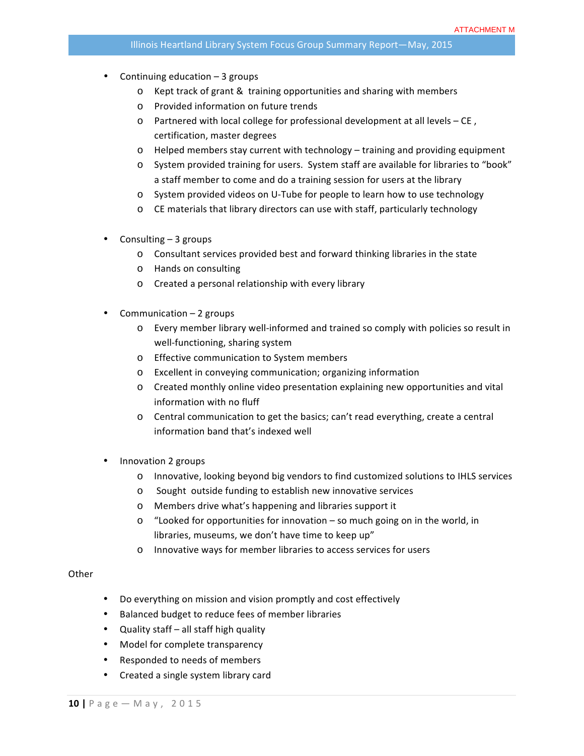- Continuing education  $-3$  groups
	- $\circ$  Kept track of grant & training opportunities and sharing with members
	- o Provided information on future trends
	- o Partnered with local college for professional development at all levels CE, certification, master degrees
	- $\circ$  Helped members stay current with technology training and providing equipment
	- o System provided training for users. System staff are available for libraries to "book" a staff member to come and do a training session for users at the library
	- o System provided videos on U-Tube for people to learn how to use technology
	- o CE materials that library directors can use with staff, particularly technology
- Consulting  $-3$  groups
	- $\circ$  Consultant services provided best and forward thinking libraries in the state
	- o Hands on consulting
	- o Created a personal relationship with every library
- Communication  $-2$  groups
	- $\circ$  Every member library well-informed and trained so comply with policies so result in well-functioning, sharing system
	- o Effective communication to System members
	- o Excellent in conveying communication; organizing information
	- $\circ$  Created monthly online video presentation explaining new opportunities and vital information with no fluff
	- $\circ$  Central communication to get the basics; can't read everything, create a central information band that's indexed well
- Innovation 2 groups
	- o Innovative, looking beyond big vendors to find customized solutions to IHLS services
	- o Sought outside funding to establish new innovative services
	- o Members drive what's happening and libraries support it
	- $\circ$  "Looked for opportunities for innovation so much going on in the world, in libraries, museums, we don't have time to keep up"
	- o Innovative ways for member libraries to access services for users

#### **Other**

- Do everything on mission and vision promptly and cost effectively
- Balanced budget to reduce fees of member libraries
- Quality staff all staff high quality
- Model for complete transparency
- Responded to needs of members
- Created a single system library card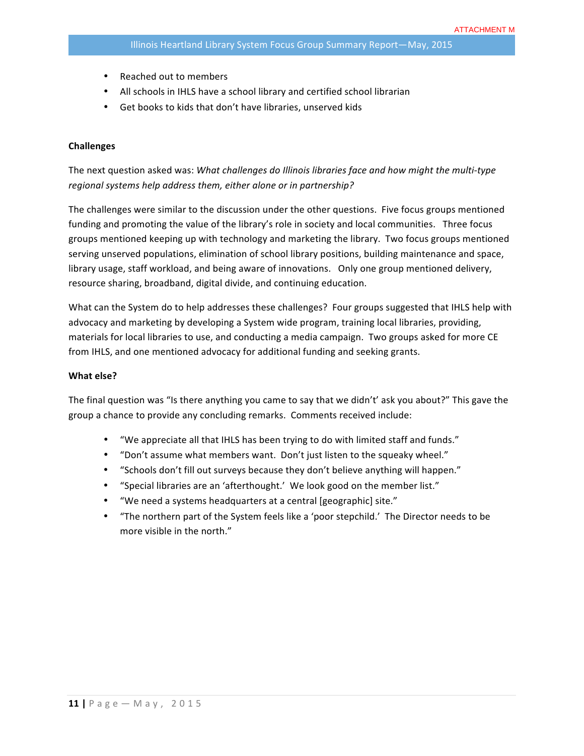- Reached out to members
- All schools in IHLS have a school library and certified school librarian
- Get books to kids that don't have libraries, unserved kids

#### **Challenges**

The next question asked was: *What challenges do Illinois libraries face and how might the multi-type* regional systems help address them, either alone or in partnership?

The challenges were similar to the discussion under the other questions. Five focus groups mentioned funding and promoting the value of the library's role in society and local communities. Three focus groups mentioned keeping up with technology and marketing the library. Two focus groups mentioned serving unserved populations, elimination of school library positions, building maintenance and space, library usage, staff workload, and being aware of innovations. Only one group mentioned delivery, resource sharing, broadband, digital divide, and continuing education.

What can the System do to help addresses these challenges? Four groups suggested that IHLS help with advocacy and marketing by developing a System wide program, training local libraries, providing, materials for local libraries to use, and conducting a media campaign. Two groups asked for more CE from IHLS, and one mentioned advocacy for additional funding and seeking grants.

#### **What else?**

The final question was "Is there anything you came to say that we didn't' ask you about?" This gave the group a chance to provide any concluding remarks. Comments received include:

- "We appreciate all that IHLS has been trying to do with limited staff and funds."
- "Don't assume what members want. Don't just listen to the squeaky wheel."
- "Schools don't fill out surveys because they don't believe anything will happen."
- "Special libraries are an 'afterthought.' We look good on the member list."
- "We need a systems headquarters at a central [geographic] site."
- "The northern part of the System feels like a 'poor stepchild.' The Director needs to be more visible in the north."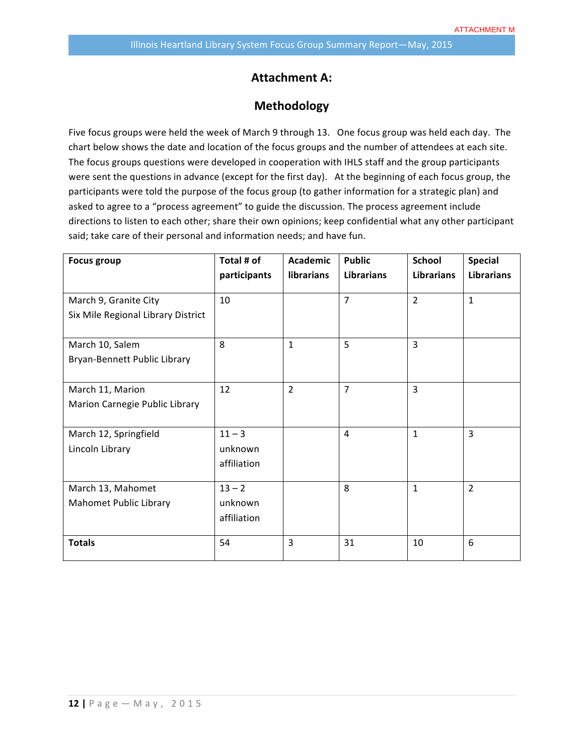# **Attachment A:**

### **Methodology**

Five focus groups were held the week of March 9 through 13. One focus group was held each day. The chart below shows the date and location of the focus groups and the number of attendees at each site. The focus groups questions were developed in cooperation with IHLS staff and the group participants were sent the questions in advance (except for the first day). At the beginning of each focus group, the participants were told the purpose of the focus group (to gather information for a strategic plan) and asked to agree to a "process agreement" to guide the discussion. The process agreement include directions to listen to each other; share their own opinions; keep confidential what any other participant said; take care of their personal and information needs; and have fun.

| <b>Focus group</b>                 | Total # of   | <b>Academic</b> | <b>Public</b>     | <b>School</b>     | <b>Special</b>    |
|------------------------------------|--------------|-----------------|-------------------|-------------------|-------------------|
|                                    | participants | librarians      | <b>Librarians</b> | <b>Librarians</b> | <b>Librarians</b> |
| March 9, Granite City              | 10           |                 | $\overline{7}$    | $\overline{2}$    | $\mathbf{1}$      |
| Six Mile Regional Library District |              |                 |                   |                   |                   |
|                                    |              |                 |                   |                   |                   |
| March 10, Salem                    | 8            | $\mathbf{1}$    | 5                 | 3                 |                   |
| Bryan-Bennett Public Library       |              |                 |                   |                   |                   |
|                                    |              |                 |                   |                   |                   |
| March 11, Marion                   | 12           | $\overline{2}$  | $\overline{7}$    | 3                 |                   |
| Marion Carnegie Public Library     |              |                 |                   |                   |                   |
|                                    |              |                 |                   |                   |                   |
| March 12, Springfield              | $11 - 3$     |                 | 4                 | $\mathbf{1}$      | $\overline{3}$    |
| Lincoln Library                    | unknown      |                 |                   |                   |                   |
|                                    | affiliation  |                 |                   |                   |                   |
|                                    |              |                 |                   |                   |                   |
| March 13, Mahomet                  | $13 - 2$     |                 | 8                 | $\mathbf{1}$      | $\overline{2}$    |
| Mahomet Public Library             | unknown      |                 |                   |                   |                   |
|                                    | affiliation  |                 |                   |                   |                   |
|                                    |              |                 |                   |                   |                   |
| <b>Totals</b>                      | 54           | 3               | 31                | 10                | 6                 |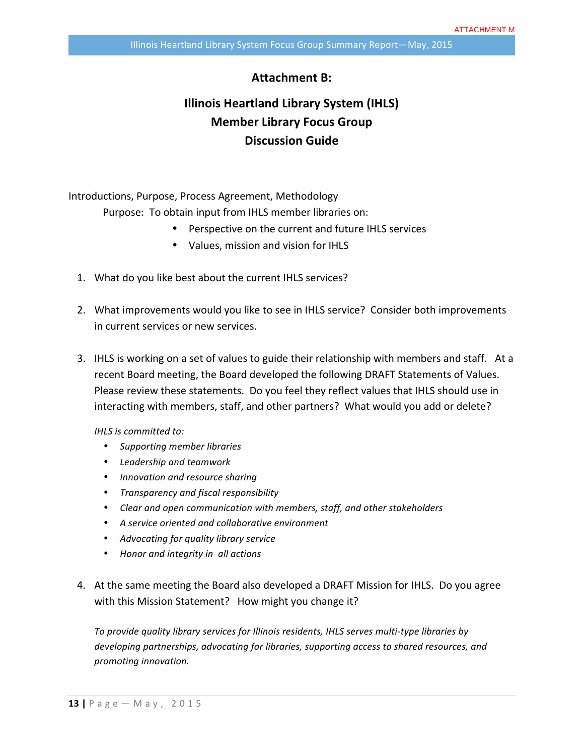## **Attachment B:**

# **Illinois Heartland Library System (IHLS) Member Library Focus Group Discussion Guide**

Introductions, Purpose, Process Agreement, Methodology Purpose: To obtain input from IHLS member libraries on:

- Perspective on the current and future IHLS services
- Values, mission and vision for IHLS
- 1. What do you like best about the current IHLS services?
- 2. What improvements would you like to see in IHLS service? Consider both improvements in current services or new services.
- 3. IHLS is working on a set of values to guide their relationship with members and staff. At a recent Board meeting, the Board developed the following DRAFT Statements of Values. Please review these statements. Do you feel they reflect values that IHLS should use in interacting with members, staff, and other partners? What would you add or delete?

*IHLS is committed to:* 

- *Supporting member libraries*
- *Leadership and teamwork*
- *Innovation and resource sharing*
- *Transparency and fiscal responsibility*
- Clear and open communication with members, staff, and other stakeholders
- *A service oriented and collaborative environment*
- *Advocating for quality library service*
- *Honor and integrity in all actions*
- 4. At the same meeting the Board also developed a DRAFT Mission for IHLS. Do you agree with this Mission Statement? How might you change it?

To provide quality library services for Illinois residents, IHLS serves multi-type libraries by *developing partnerships, advocating for libraries, supporting access to shared resources, and promoting innovation.*